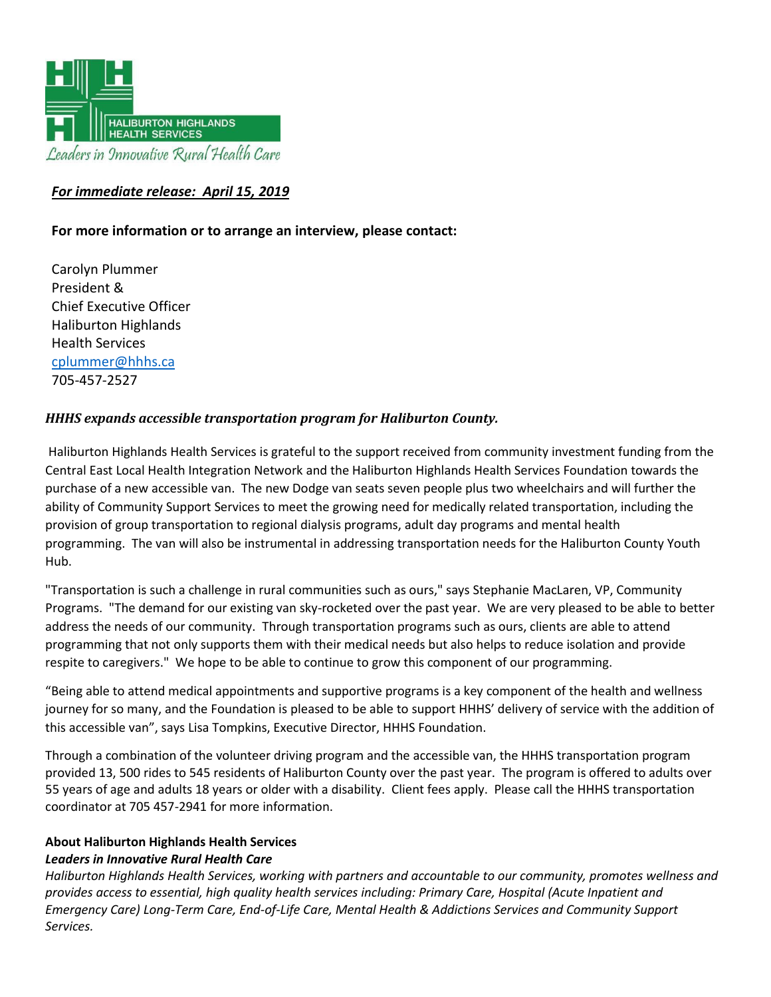

# *For immediate release: April 15, 2019*

## **For more information or to arrange an interview, please contact:**

Carolyn Plummer President & Chief Executive Officer Haliburton Highlands Health Services [cplummer@hhhs.ca](mailto:cplummer@hhhs.ca) 705-457-2527

### *HHHS expands accessible transportation program for Haliburton County.*

Haliburton Highlands Health Services is grateful to the support received from community investment funding from the Central East Local Health Integration Network and the Haliburton Highlands Health Services Foundation towards the purchase of a new accessible van. The new Dodge van seats seven people plus two wheelchairs and will further the ability of Community Support Services to meet the growing need for medically related transportation, including the provision of group transportation to regional dialysis programs, adult day programs and mental health programming. The van will also be instrumental in addressing transportation needs for the Haliburton County Youth Hub.

"Transportation is such a challenge in rural communities such as ours," says Stephanie MacLaren, VP, Community Programs. "The demand for our existing van sky-rocketed over the past year. We are very pleased to be able to better address the needs of our community. Through transportation programs such as ours, clients are able to attend programming that not only supports them with their medical needs but also helps to reduce isolation and provide respite to caregivers." We hope to be able to continue to grow this component of our programming.

"Being able to attend medical appointments and supportive programs is a key component of the health and wellness journey for so many, and the Foundation is pleased to be able to support HHHS' delivery of service with the addition of this accessible van", says Lisa Tompkins, Executive Director, HHHS Foundation.

Through a combination of the volunteer driving program and the accessible van, the HHHS transportation program provided 13, 500 rides to 545 residents of Haliburton County over the past year. The program is offered to adults over 55 years of age and adults 18 years or older with a disability. Client fees apply. Please call the HHHS transportation coordinator at 705 457-2941 for more information.

#### **About Haliburton Highlands Health Services** *Leaders in Innovative Rural Health Care*

*Haliburton Highlands Health Services, working with partners and accountable to our community, promotes wellness and provides access to essential, high quality health services including: Primary Care, Hospital (Acute Inpatient and Emergency Care) Long-Term Care, End-of-Life Care, Mental Health & Addictions Services and Community Support Services.*